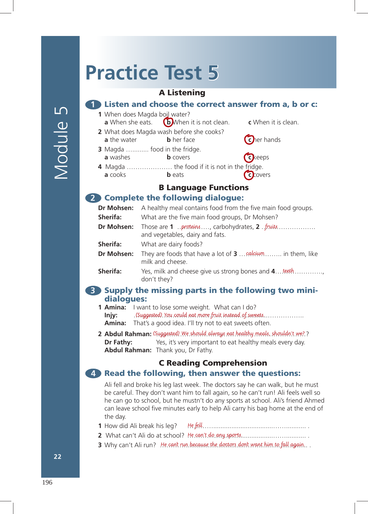# **Practice Test 5**

### A Listening

#### **1** Listen and choose the correct answer from a, b or c:

**1** When does Magda boil water? **a** When she eats. **b** When it is not clean. **c** When it is clean.

**2** What does Magda wash before she cooks?

- **a** the water **b** her face **c** her hands
- **3** Magda ............ food in the fridge. **a** washes **b** covers **cc** keeps
- **4** Magda ………………… the food if it is not in the fridge. **a** cooks **b** eats **c** covers

# B Language Functions

#### **2** Complete the following dialogue:

| Dr Mohsen:      | A healthy meal contains food from the five main food groups.                                           |
|-----------------|--------------------------------------------------------------------------------------------------------|
| Sherifa:        | What are the five main food groups, Dr Mohsen?                                                         |
| Dr Mohsen:      | Those are $1$ . proteins , carbohydrates, $2$ . $\frac{f}{f}$ ruits<br>and vegetables, dairy and fats. |
| Sherifa:        | What are dairy foods?                                                                                  |
| Dr Mohsen:      | They are foods that have a lot of $3 \ldots$ calcium  in them, like<br>milk and cheese.                |
| <b>Sherifa:</b> | Yes, milk and cheese give us strong bones and 4 teeth<br>don't they?                                   |

#### **3** Supply the missing parts in the following two minidialogues:

**1 Amina:** I want to lose some weight. What can I do? **Injy:** (Suggested) You could eat more fruit instead of sweets................... **Amina:** That's a good idea. I'll try not to eat sweets often.

**2 Abdul Rahman:** (Suggested) We should always eat healthy meals, shouldn't we?? **Dr Fathy:** Yes, it's very important to eat healthy meals every day. **Abdul Rahman:** Thank you, Dr Fathy.

## C Reading Comprehension

#### **4** Read the following, then answer the questions:

Ali fell and broke his leg last week. The doctors say he can walk, but he must be careful. They don't want him to fall again, so he can't run! Ali feels well so he can go to school, but he mustn't do any sports at school. Ali's friend Ahmed can leave school five minutes early to help Ali carry his bag home at the end of the day.

- **1** How did Ali break his leg? ………….................................……........... . He fell.
- **2** What can't Ali do at school? ………….................................……........... . He can't do any sports.
- **3** Why can't Ali run? He can't run because the doctors don't want him to fall again.. .

**22**